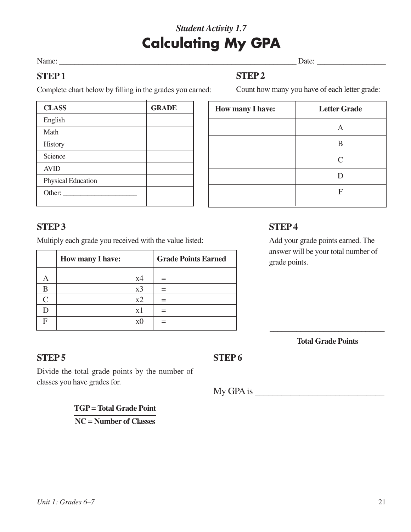## *Student Activity 1.7* **Calculating My GPA**

#### Name:  $\Box$

Count how many you have of each letter grade:

## **STEP 1**

## **STEP 2**

Complete chart below by filling in the grades you earned:

| <b>CLASS</b>       | <b>GRADE</b> |
|--------------------|--------------|
| English            |              |
| Math               |              |
| <b>History</b>     |              |
| Science            |              |
| <b>AVID</b>        |              |
| Physical Education |              |
| Other:             |              |

| How many I have: | <b>Letter Grade</b> |
|------------------|---------------------|
|                  | A                   |
|                  | B                   |
|                  | $\mathcal{C}$       |
|                  | D                   |
|                  | F                   |
|                  |                     |

## **STEP3**

Multiply each grade you received with the value listed:

|   | <b>How many I have:</b> |                | <b>Grade Points Earned</b> |
|---|-------------------------|----------------|----------------------------|
|   |                         | x4             |                            |
|   |                         | x3             |                            |
|   |                         | x2             |                            |
|   |                         | x1             |                            |
| F |                         | x <sub>0</sub> |                            |

## **STEP 4**

Add your grade points earned. The answer will be your total number of grade points.

\_\_\_\_\_\_\_\_\_\_\_\_\_\_\_\_\_\_\_\_\_\_\_\_\_\_\_\_\_\_ **Total Grade Points**

## **STEP 5**

### **STEP6**

Divide the total grade points by the number of classes you have grades for.

 $M_y$  GPA is

**TGP = Total Grade Point**

**NC = Number of Classes**